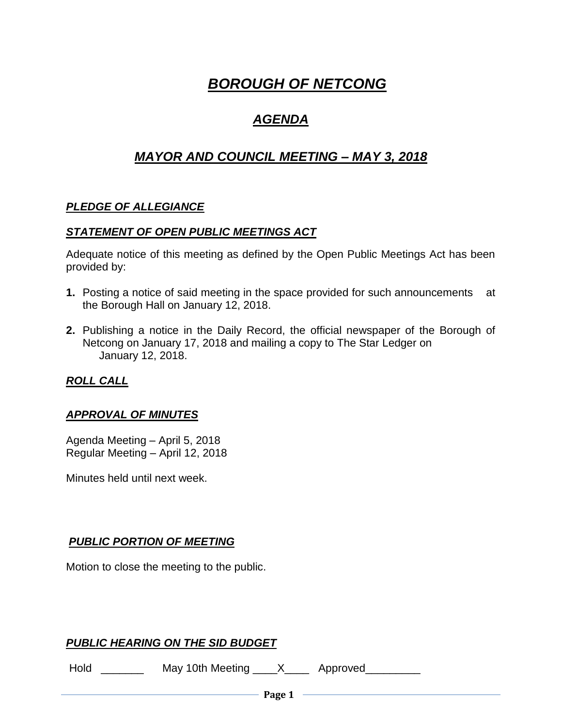# *BOROUGH OF NETCONG*

# *AGENDA*

# *MAYOR AND COUNCIL MEETING – MAY 3, 2018*

# *PLEDGE OF ALLEGIANCE*

#### *STATEMENT OF OPEN PUBLIC MEETINGS ACT*

Adequate notice of this meeting as defined by the Open Public Meetings Act has been provided by:

- **1.** Posting a notice of said meeting in the space provided for such announcements at the Borough Hall on January 12, 2018.
- **2.** Publishing a notice in the Daily Record, the official newspaper of the Borough of Netcong on January 17, 2018 and mailing a copy to The Star Ledger on January 12, 2018.

## *ROLL CALL*

#### *APPROVAL OF MINUTES*

Agenda Meeting – April 5, 2018 Regular Meeting – April 12, 2018

Minutes held until next week.

## *PUBLIC PORTION OF MEETING*

Motion to close the meeting to the public.

# *PUBLIC HEARING ON THE SID BUDGET*

Hold \_\_\_\_\_\_\_\_\_ May 10th Meeting \_\_\_\_X\_\_\_\_ Approved\_\_\_\_\_\_\_\_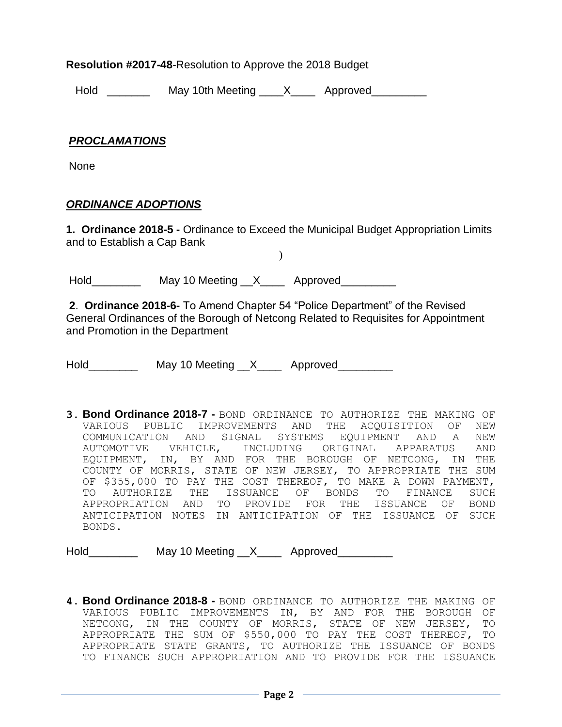**Resolution #2017-48**-Resolution to Approve the 2018 Budget

Hold \_\_\_\_\_\_\_\_\_\_ May 10th Meeting \_\_\_\_X\_\_\_\_\_ Approved\_\_\_\_\_\_\_\_\_

#### *PROCLAMATIONS*

None

#### *ORDINANCE ADOPTIONS*

**1. Ordinance 2018-5 -** Ordinance to Exceed the Municipal Budget Appropriation Limits and to Establish a Cap Bank

)

Hold\_\_\_\_\_\_\_\_\_\_\_\_ May 10 Meeting \_\_X\_\_\_\_\_ Approved\_\_\_\_\_\_\_\_\_\_

**2**. **Ordinance 2018-6-** To Amend Chapter 54 "Police Department" of the Revised General Ordinances of the Borough of Netcong Related to Requisites for Appointment and Promotion in the Department

Hold May 10 Meeting X Approved

**3. Bond Ordinance 2018-7 -** BOND ORDINANCE TO AUTHORIZE THE MAKING OF VARIOUS PUBLIC IMPROVEMENTS AND THE ACQUISITION OF NEW COMMUNICATION AND SIGNAL SYSTEMS EQUIPMENT AND A NEW AUTOMOTIVE VEHICLE, INCLUDING ORIGINAL APPARATUS AND EQUIPMENT, IN, BY AND FOR THE BOROUGH OF NETCONG, IN THE COUNTY OF MORRIS, STATE OF NEW JERSEY, TO APPROPRIATE THE SUM OF \$355,000 TO PAY THE COST THEREOF, TO MAKE A DOWN PAYMENT, TO AUTHORIZE THE ISSUANCE OF BONDS TO FINANCE SUCH APPROPRIATION AND TO PROVIDE FOR THE ISSUANCE OF BOND ANTICIPATION NOTES IN ANTICIPATION OF THE ISSUANCE OF SUCH BONDS.

Hold May 10 Meeting X Approved

**4. Bond Ordinance 2018-8 -** BOND ORDINANCE TO AUTHORIZE THE MAKING OF VARIOUS PUBLIC IMPROVEMENTS IN, BY AND FOR THE BOROUGH OF NETCONG, IN THE COUNTY OF MORRIS, STATE OF NEW JERSEY, TO APPROPRIATE THE SUM OF \$550,000 TO PAY THE COST THEREOF, TO APPROPRIATE STATE GRANTS, TO AUTHORIZE THE ISSUANCE OF BONDS TO FINANCE SUCH APPROPRIATION AND TO PROVIDE FOR THE ISSUANCE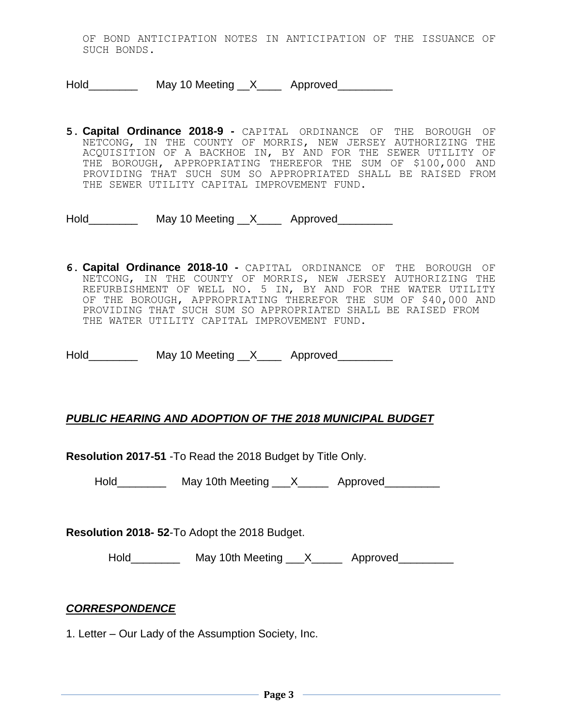OF BOND ANTICIPATION NOTES IN ANTICIPATION OF THE ISSUANCE OF SUCH BONDS.

Hold\_\_\_\_\_\_\_\_\_\_\_ May 10 Meeting \_\_X\_\_\_\_\_ Approved\_\_\_\_\_\_\_\_\_

**5. Capital Ordinance 2018-9 -** CAPITAL ORDINANCE OF THE BOROUGH OF NETCONG, IN THE COUNTY OF MORRIS, NEW JERSEY AUTHORIZING THE ACQUISITION OF A BACKHOE IN, BY AND FOR THE SEWER UTILITY OF THE BOROUGH, APPROPRIATING THEREFOR THE SUM OF \$100,000 AND PROVIDING THAT SUCH SUM SO APPROPRIATED SHALL BE RAISED FROM THE SEWER UTILITY CAPITAL IMPROVEMENT FUND.

Hold\_\_\_\_\_\_\_\_\_\_ May 10 Meeting \_\_X\_\_\_\_ Approved\_\_\_\_\_\_\_\_\_

**6. Capital Ordinance 2018-10 -** CAPITAL ORDINANCE OF THE BOROUGH OF NETCONG, IN THE COUNTY OF MORRIS, NEW JERSEY AUTHORIZING THE REFURBISHMENT OF WELL NO. 5 IN, BY AND FOR THE WATER UTILITY OF THE BOROUGH, APPROPRIATING THEREFOR THE SUM OF \$40,000 AND PROVIDING THAT SUCH SUM SO APPROPRIATED SHALL BE RAISED FROM THE WATER UTILITY CAPITAL IMPROVEMENT FUND.

Hold May 10 Meeting X Approved

#### *PUBLIC HEARING AND ADOPTION OF THE 2018 MUNICIPAL BUDGET*

**Resolution 2017-51** -To Read the 2018 Budget by Title Only.

Hold\_\_\_\_\_\_\_\_\_\_\_\_ May 10th Meeting \_\_\_X\_\_\_\_\_\_ Approved

**Resolution 2018- 52**-To Adopt the 2018 Budget.

Hold\_\_\_\_\_\_\_\_\_\_\_ May 10th Meeting \_\_\_X\_\_\_\_\_\_ Approved\_\_\_\_\_\_\_\_\_

#### *CORRESPONDENCE*

1. Letter – Our Lady of the Assumption Society, Inc.